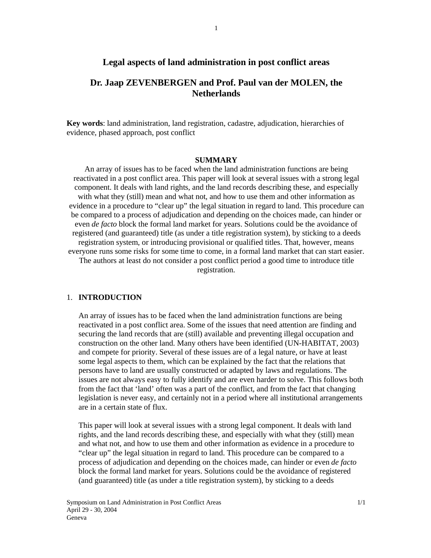## **Legal aspects of land administration in post conflict areas**

# **Dr. Jaap ZEVENBERGEN and Prof. Paul van der MOLEN, the Netherlands**

**Key words**: land administration, land registration, cadastre, adjudication, hierarchies of evidence, phased approach, post conflict

#### **SUMMARY**

An array of issues has to be faced when the land administration functions are being reactivated in a post conflict area. This paper will look at several issues with a strong legal component. It deals with land rights, and the land records describing these, and especially with what they (still) mean and what not, and how to use them and other information as evidence in a procedure to "clear up" the legal situation in regard to land. This procedure can be compared to a process of adjudication and depending on the choices made, can hinder or even *de facto* block the formal land market for years. Solutions could be the avoidance of registered (and guaranteed) title (as under a title registration system), by sticking to a deeds registration system, or introducing provisional or qualified titles. That, however, means everyone runs some risks for some time to come, in a formal land market that can start easier. The authors at least do not consider a post conflict period a good time to introduce title registration.

#### 1. **INTRODUCTION**

An array of issues has to be faced when the land administration functions are being reactivated in a post conflict area. Some of the issues that need attention are finding and securing the land records that are (still) available and preventing illegal occupation and construction on the other land. Many others have been identified (UN-HABITAT, 2003) and compete for priority. Several of these issues are of a legal nature, or have at least some legal aspects to them, which can be explained by the fact that the relations that persons have to land are usually constructed or adapted by laws and regulations. The issues are not always easy to fully identify and are even harder to solve. This follows both from the fact that 'land' often was a part of the conflict, and from the fact that changing legislation is never easy, and certainly not in a period where all institutional arrangements are in a certain state of flux.

This paper will look at several issues with a strong legal component. It deals with land rights, and the land records describing these, and especially with what they (still) mean and what not, and how to use them and other information as evidence in a procedure to "clear up" the legal situation in regard to land. This procedure can be compared to a process of adjudication and depending on the choices made, can hinder or even *de facto* block the formal land market for years. Solutions could be the avoidance of registered (and guaranteed) title (as under a title registration system), by sticking to a deeds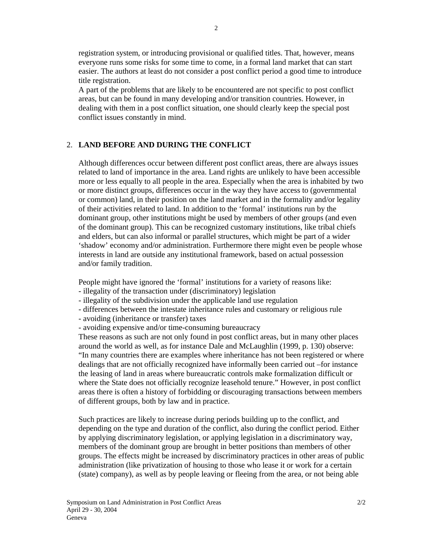registration system, or introducing provisional or qualified titles. That, however, means everyone runs some risks for some time to come, in a formal land market that can start easier. The authors at least do not consider a post conflict period a good time to introduce title registration.

A part of the problems that are likely to be encountered are not specific to post conflict areas, but can be found in many developing and/or transition countries. However, in dealing with them in a post conflict situation, one should clearly keep the special post conflict issues constantly in mind.

## 2. **LAND BEFORE AND DURING THE CONFLICT**

Although differences occur between different post conflict areas, there are always issues related to land of importance in the area. Land rights are unlikely to have been accessible more or less equally to all people in the area. Especially when the area is inhabited by two or more distinct groups, differences occur in the way they have access to (governmental or common) land, in their position on the land market and in the formality and/or legality of their activities related to land. In addition to the 'formal' institutions run by the dominant group, other institutions might be used by members of other groups (and even of the dominant group). This can be recognized customary institutions, like tribal chiefs and elders, but can also informal or parallel structures, which might be part of a wider 'shadow' economy and/or administration. Furthermore there might even be people whose interests in land are outside any institutional framework, based on actual possession and/or family tradition.

People might have ignored the 'formal' institutions for a variety of reasons like:

- illegality of the transaction under (discriminatory) legislation
- illegality of the subdivision under the applicable land use regulation
- differences between the intestate inheritance rules and customary or religious rule
- avoiding (inheritance or transfer) taxes
- avoiding expensive and/or time-consuming bureaucracy

These reasons as such are not only found in post conflict areas, but in many other places around the world as well, as for instance Dale and McLaughlin (1999, p. 130) observe: "In many countries there are examples where inheritance has not been registered or where dealings that are not officially recognized have informally been carried out –for instance the leasing of land in areas where bureaucratic controls make formalization difficult or where the State does not officially recognize leasehold tenure." However, in post conflict areas there is often a history of forbidding or discouraging transactions between members of different groups, both by law and in practice.

Such practices are likely to increase during periods building up to the conflict, and depending on the type and duration of the conflict, also during the conflict period. Either by applying discriminatory legislation, or applying legislation in a discriminatory way, members of the dominant group are brought in better positions than members of other groups. The effects might be increased by discriminatory practices in other areas of public administration (like privatization of housing to those who lease it or work for a certain (state) company), as well as by people leaving or fleeing from the area, or not being able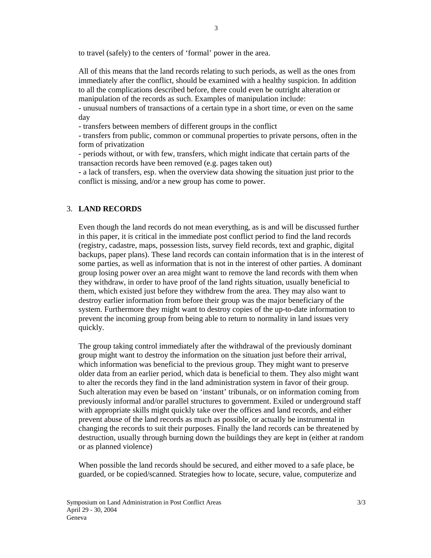to travel (safely) to the centers of 'formal' power in the area.

All of this means that the land records relating to such periods, as well as the ones from immediately after the conflict, should be examined with a healthy suspicion. In addition to all the complications described before, there could even be outright alteration or manipulation of the records as such. Examples of manipulation include:

- unusual numbers of transactions of a certain type in a short time, or even on the same day

- transfers between members of different groups in the conflict

- transfers from public, common or communal properties to private persons, often in the form of privatization

- periods without, or with few, transfers, which might indicate that certain parts of the transaction records have been removed (e.g. pages taken out)

- a lack of transfers, esp. when the overview data showing the situation just prior to the conflict is missing, and/or a new group has come to power.

## 3. **LAND RECORDS**

Even though the land records do not mean everything, as is and will be discussed further in this paper, it is critical in the immediate post conflict period to find the land records (registry, cadastre, maps, possession lists, survey field records, text and graphic, digital backups, paper plans). These land records can contain information that is in the interest of some parties, as well as information that is not in the interest of other parties. A dominant group losing power over an area might want to remove the land records with them when they withdraw, in order to have proof of the land rights situation, usually beneficial to them, which existed just before they withdrew from the area. They may also want to destroy earlier information from before their group was the major beneficiary of the system. Furthermore they might want to destroy copies of the up-to-date information to prevent the incoming group from being able to return to normality in land issues very quickly.

The group taking control immediately after the withdrawal of the previously dominant group might want to destroy the information on the situation just before their arrival, which information was beneficial to the previous group. They might want to preserve older data from an earlier period, which data is beneficial to them. They also might want to alter the records they find in the land administration system in favor of their group. Such alteration may even be based on 'instant' tribunals, or on information coming from previously informal and/or parallel structures to government. Exiled or underground staff with appropriate skills might quickly take over the offices and land records, and either prevent abuse of the land records as much as possible, or actually be instrumental in changing the records to suit their purposes. Finally the land records can be threatened by destruction, usually through burning down the buildings they are kept in (either at random or as planned violence)

When possible the land records should be secured, and either moved to a safe place, be guarded, or be copied/scanned. Strategies how to locate, secure, value, computerize and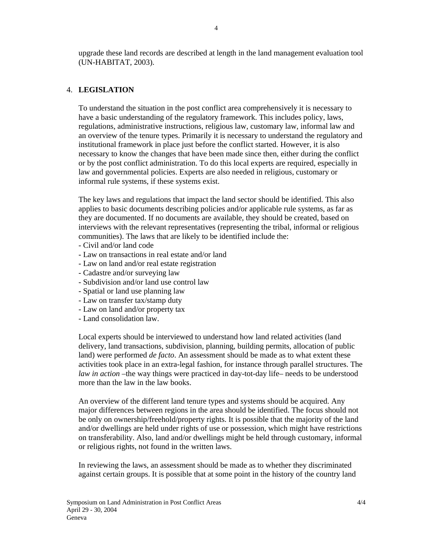upgrade these land records are described at length in the land management evaluation tool (UN-HABITAT, 2003).

## 4. **LEGISLATION**

To understand the situation in the post conflict area comprehensively it is necessary to have a basic understanding of the regulatory framework. This includes policy, laws, regulations, administrative instructions, religious law, customary law, informal law and an overview of the tenure types. Primarily it is necessary to understand the regulatory and institutional framework in place just before the conflict started. However, it is also necessary to know the changes that have been made since then, either during the conflict or by the post conflict administration. To do this local experts are required, especially in law and governmental policies. Experts are also needed in religious, customary or informal rule systems, if these systems exist.

The key laws and regulations that impact the land sector should be identified. This also applies to basic documents describing policies and/or applicable rule systems, as far as they are documented. If no documents are available, they should be created, based on interviews with the relevant representatives (representing the tribal, informal or religious communities). The laws that are likely to be identified include the:

- Civil and/or land code
- Law on transactions in real estate and/or land
- Law on land and/or real estate registration
- Cadastre and/or surveying law
- Subdivision and/or land use control law
- Spatial or land use planning law
- Law on transfer tax/stamp duty
- Law on land and/or property tax
- Land consolidation law.

Local experts should be interviewed to understand how land related activities (land delivery, land transactions, subdivision, planning, building permits, allocation of public land) were performed *de facto*. An assessment should be made as to what extent these activities took place in an extra-legal fashion, for instance through parallel structures. The *law in action* –the way things were practiced in day-tot-day life– needs to be understood more than the law in the law books.

An overview of the different land tenure types and systems should be acquired. Any major differences between regions in the area should be identified. The focus should not be only on ownership/freehold/property rights. It is possible that the majority of the land and/or dwellings are held under rights of use or possession, which might have restrictions on transferability. Also, land and/or dwellings might be held through customary, informal or religious rights, not found in the written laws.

In reviewing the laws, an assessment should be made as to whether they discriminated against certain groups. It is possible that at some point in the history of the country land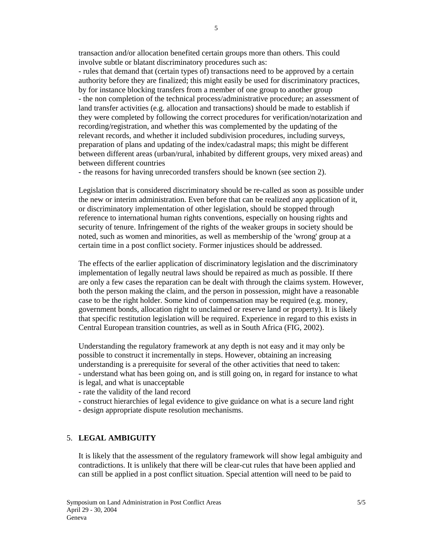transaction and/or allocation benefited certain groups more than others. This could involve subtle or blatant discriminatory procedures such as:

- rules that demand that (certain types of) transactions need to be approved by a certain authority before they are finalized; this might easily be used for discriminatory practices, by for instance blocking transfers from a member of one group to another group - the non completion of the technical process/administrative procedure; an assessment of land transfer activities (e.g. allocation and transactions) should be made to establish if they were completed by following the correct procedures for verification/notarization and recording/registration, and whether this was complemented by the updating of the relevant records, and whether it included subdivision procedures, including surveys, preparation of plans and updating of the index/cadastral maps; this might be different between different areas (urban/rural, inhabited by different groups, very mixed areas) and between different countries

- the reasons for having unrecorded transfers should be known (see section 2).

Legislation that is considered discriminatory should be re-called as soon as possible under the new or interim administration. Even before that can be realized any application of it, or discriminatory implementation of other legislation, should be stopped through reference to international human rights conventions, especially on housing rights and security of tenure. Infringement of the rights of the weaker groups in society should be noted, such as women and minorities, as well as membership of the 'wrong' group at a certain time in a post conflict society. Former injustices should be addressed.

The effects of the earlier application of discriminatory legislation and the discriminatory implementation of legally neutral laws should be repaired as much as possible. If there are only a few cases the reparation can be dealt with through the claims system. However, both the person making the claim, and the person in possession, might have a reasonable case to be the right holder. Some kind of compensation may be required (e.g. money, government bonds, allocation right to unclaimed or reserve land or property). It is likely that specific restitution legislation will be required. Experience in regard to this exists in Central European transition countries, as well as in South Africa (FIG, 2002).

Understanding the regulatory framework at any depth is not easy and it may only be possible to construct it incrementally in steps. However, obtaining an increasing understanding is a prerequisite for several of the other activities that need to taken: - understand what has been going on, and is still going on, in regard for instance to what is legal, and what is unacceptable

- rate the validity of the land record
- construct hierarchies of legal evidence to give guidance on what is a secure land right
- design appropriate dispute resolution mechanisms.

## 5. **LEGAL AMBIGUITY**

It is likely that the assessment of the regulatory framework will show legal ambiguity and contradictions. It is unlikely that there will be clear-cut rules that have been applied and can still be applied in a post conflict situation. Special attention will need to be paid to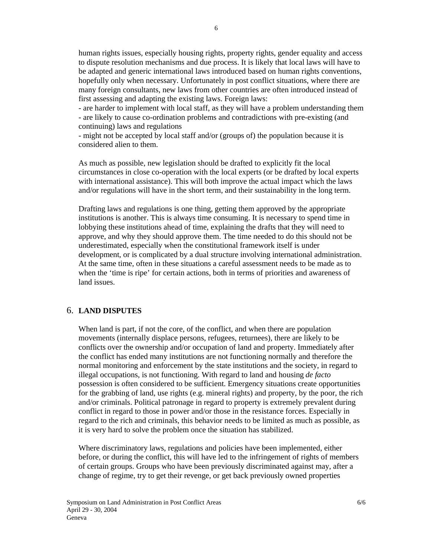human rights issues, especially housing rights, property rights, gender equality and access to dispute resolution mechanisms and due process. It is likely that local laws will have to be adapted and generic international laws introduced based on human rights conventions, hopefully only when necessary. Unfortunately in post conflict situations, where there are many foreign consultants, new laws from other countries are often introduced instead of first assessing and adapting the existing laws. Foreign laws:

- are harder to implement with local staff, as they will have a problem understanding them - are likely to cause co-ordination problems and contradictions with pre-existing (and continuing) laws and regulations

- might not be accepted by local staff and/or (groups of) the population because it is considered alien to them.

As much as possible, new legislation should be drafted to explicitly fit the local circumstances in close co-operation with the local experts (or be drafted by local experts with international assistance). This will both improve the actual impact which the laws and/or regulations will have in the short term, and their sustainability in the long term.

Drafting laws and regulations is one thing, getting them approved by the appropriate institutions is another. This is always time consuming. It is necessary to spend time in lobbying these institutions ahead of time, explaining the drafts that they will need to approve, and why they should approve them. The time needed to do this should not be underestimated, especially when the constitutional framework itself is under development, or is complicated by a dual structure involving international administration. At the same time, often in these situations a careful assessment needs to be made as to when the 'time is ripe' for certain actions, both in terms of priorities and awareness of land issues.

## 6. **LAND DISPUTES**

When land is part, if not the core, of the conflict, and when there are population movements (internally displace persons, refugees, returnees), there are likely to be conflicts over the ownership and/or occupation of land and property. Immediately after the conflict has ended many institutions are not functioning normally and therefore the normal monitoring and enforcement by the state institutions and the society, in regard to illegal occupations, is not functioning. With regard to land and housing *de facto* possession is often considered to be sufficient. Emergency situations create opportunities for the grabbing of land, use rights (e.g. mineral rights) and property, by the poor, the rich and/or criminals. Political patronage in regard to property is extremely prevalent during conflict in regard to those in power and/or those in the resistance forces. Especially in regard to the rich and criminals, this behavior needs to be limited as much as possible, as it is very hard to solve the problem once the situation has stabilized.

Where discriminatory laws, regulations and policies have been implemented, either before, or during the conflict, this will have led to the infringement of rights of members of certain groups. Groups who have been previously discriminated against may, after a change of regime, try to get their revenge, or get back previously owned properties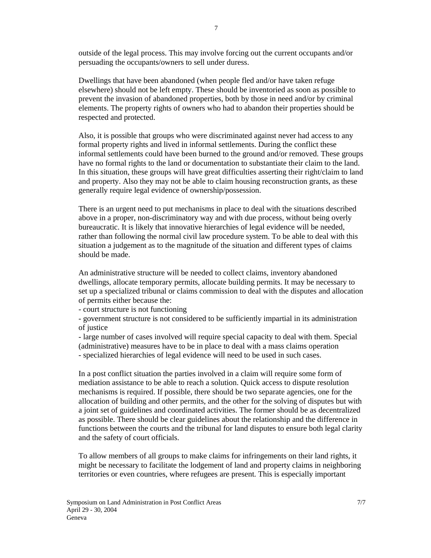7

outside of the legal process. This may involve forcing out the current occupants and/or persuading the occupants/owners to sell under duress.

Dwellings that have been abandoned (when people fled and/or have taken refuge elsewhere) should not be left empty. These should be inventoried as soon as possible to prevent the invasion of abandoned properties, both by those in need and/or by criminal elements. The property rights of owners who had to abandon their properties should be respected and protected.

Also, it is possible that groups who were discriminated against never had access to any formal property rights and lived in informal settlements. During the conflict these informal settlements could have been burned to the ground and/or removed. These groups have no formal rights to the land or documentation to substantiate their claim to the land. In this situation, these groups will have great difficulties asserting their right/claim to land and property. Also they may not be able to claim housing reconstruction grants, as these generally require legal evidence of ownership/possession.

There is an urgent need to put mechanisms in place to deal with the situations described above in a proper, non-discriminatory way and with due process, without being overly bureaucratic. It is likely that innovative hierarchies of legal evidence will be needed, rather than following the normal civil law procedure system. To be able to deal with this situation a judgement as to the magnitude of the situation and different types of claims should be made.

An administrative structure will be needed to collect claims, inventory abandoned dwellings, allocate temporary permits, allocate building permits. It may be necessary to set up a specialized tribunal or claims commission to deal with the disputes and allocation of permits either because the:

- court structure is not functioning

- government structure is not considered to be sufficiently impartial in its administration of justice

- large number of cases involved will require special capacity to deal with them. Special (administrative) measures have to be in place to deal with a mass claims operation - specialized hierarchies of legal evidence will need to be used in such cases.

In a post conflict situation the parties involved in a claim will require some form of mediation assistance to be able to reach a solution. Quick access to dispute resolution mechanisms is required. If possible, there should be two separate agencies, one for the allocation of building and other permits, and the other for the solving of disputes but with a joint set of guidelines and coordinated activities. The former should be as decentralized as possible. There should be clear guidelines about the relationship and the difference in functions between the courts and the tribunal for land disputes to ensure both legal clarity and the safety of court officials.

To allow members of all groups to make claims for infringements on their land rights, it might be necessary to facilitate the lodgement of land and property claims in neighboring territories or even countries, where refugees are present. This is especially important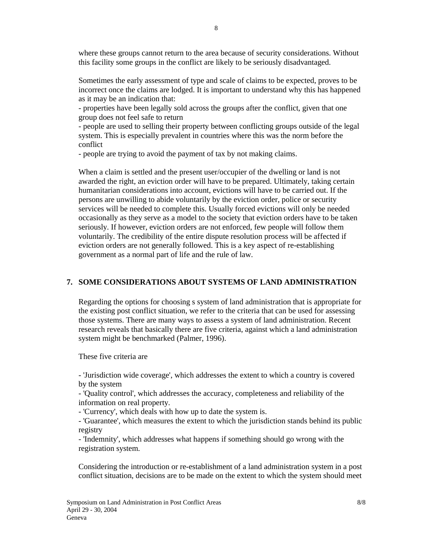where these groups cannot return to the area because of security considerations. Without this facility some groups in the conflict are likely to be seriously disadvantaged.

Sometimes the early assessment of type and scale of claims to be expected, proves to be incorrect once the claims are lodged. It is important to understand why this has happened as it may be an indication that:

- properties have been legally sold across the groups after the conflict, given that one group does not feel safe to return

- people are used to selling their property between conflicting groups outside of the legal system. This is especially prevalent in countries where this was the norm before the conflict

- people are trying to avoid the payment of tax by not making claims.

When a claim is settled and the present user/occupier of the dwelling or land is not awarded the right, an eviction order will have to be prepared. Ultimately, taking certain humanitarian considerations into account, evictions will have to be carried out. If the persons are unwilling to abide voluntarily by the eviction order, police or security services will be needed to complete this. Usually forced evictions will only be needed occasionally as they serve as a model to the society that eviction orders have to be taken seriously. If however, eviction orders are not enforced, few people will follow them voluntarily. The credibility of the entire dispute resolution process will be affected if eviction orders are not generally followed. This is a key aspect of re-establishing government as a normal part of life and the rule of law.

## **7. SOME CONSIDERATIONS ABOUT SYSTEMS OF LAND ADMINISTRATION**

Regarding the options for choosing s system of land administration that is appropriate for the existing post conflict situation, we refer to the criteria that can be used for assessing those systems. There are many ways to assess a system of land administration. Recent research reveals that basically there are five criteria, against which a land administration system might be benchmarked (Palmer, 1996).

These five criteria are

- 'Jurisdiction wide coverage', which addresses the extent to which a country is covered by the system

- 'Quality control', which addresses the accuracy, completeness and reliability of the information on real property.

- 'Currency', which deals with how up to date the system is.

- 'Guarantee', which measures the extent to which the jurisdiction stands behind its public registry

- 'Indemnity', which addresses what happens if something should go wrong with the registration system.

Considering the introduction or re-establishment of a land administration system in a post conflict situation, decisions are to be made on the extent to which the system should meet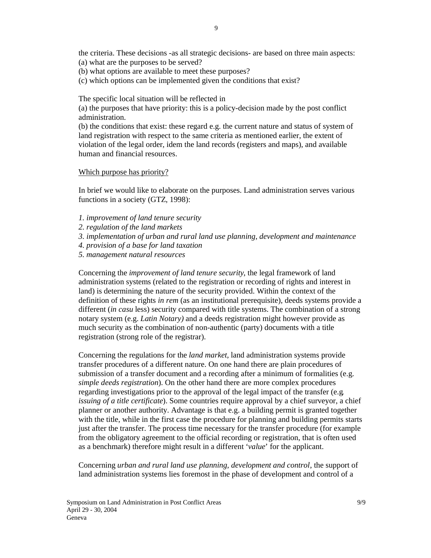the criteria. These decisions -as all strategic decisions- are based on three main aspects: (a) what are the purposes to be served?

- (b) what options are available to meet these purposes?
- (c) which options can be implemented given the conditions that exist?

The specific local situation will be reflected in

(a) the purposes that have priority: this is a policy-decision made by the post conflict administration.

(b) the conditions that exist: these regard e.g. the current nature and status of system of land registration with respect to the same criteria as mentioned earlier, the extent of violation of the legal order, idem the land records (registers and maps), and available human and financial resources.

#### Which purpose has priority?

In brief we would like to elaborate on the purposes. Land administration serves various functions in a society (GTZ, 1998):

- *1. improvement of land tenure security*
- *2. regulation of the land markets*
- *3. implementation of urban and rural land use planning, development and maintenance*
- *4. provision of a base for land taxation*
- *5. management natural resources*

Concerning the *improvement of land tenure security*, the legal framework of land administration systems (related to the registration or recording of rights and interest in land) is determining the nature of the security provided. Within the context of the definition of these rights *in rem* (as an institutional prerequisite), deeds systems provide a different (*in casu* less) security compared with title systems. The combination of a strong notary system (e.g. *Latin Notary)* and a deeds registration might however provide as much security as the combination of non-authentic (party) documents with a title registration (strong role of the registrar).

Concerning the regulations for the *land market,* land administration systems provide transfer procedures of a different nature. On one hand there are plain procedures of submission of a transfer document and a recording after a minimum of formalities (e.g. *simple deeds registration*). On the other hand there are more complex procedures regarding investigations prior to the approval of the legal impact of the transfer (e.g*. issuing of a title certificate*). Some countries require approval by a chief surveyor, a chief planner or another authority. Advantage is that e.g. a building permit is granted together with the title, while in the first case the procedure for planning and building permits starts just after the transfer. The process time necessary for the transfer procedure (for example from the obligatory agreement to the official recording or registration, that is often used as a benchmark) therefore might result in a different '*value*' for the applicant.

Concerning *urban and rural land use planning, development and control*, the support of land administration systems lies foremost in the phase of development and control of a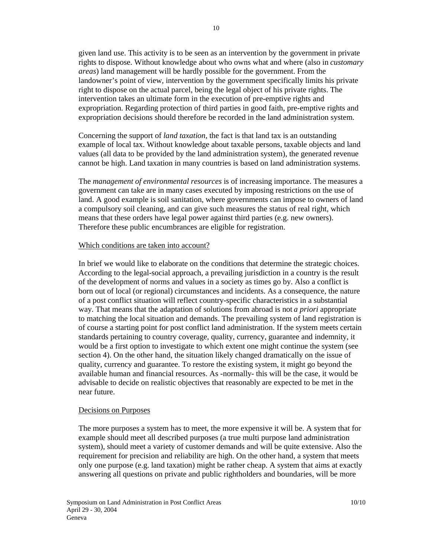given land use. This activity is to be seen as an intervention by the government in private rights to dispose. Without knowledge about who owns what and where (also in *customary areas*) land management will be hardly possible for the government. From the landowner's point of view, intervention by the government specifically limits his private right to dispose on the actual parcel, being the legal object of his private rights. The intervention takes an ultimate form in the execution of pre-emptive rights and expropriation. Regarding protection of third parties in good faith, pre-emptive rights and expropriation decisions should therefore be recorded in the land administration system.

Concerning the support of *land taxation,* the fact is that land tax is an outstanding example of local tax. Without knowledge about taxable persons, taxable objects and land values (all data to be provided by the land administration system), the generated revenue cannot be high. Land taxation in many countries is based on land administration systems.

The *management of environmental resources* is of increasing importance. The measures a government can take are in many cases executed by imposing restrictions on the use of land. A good example is soil sanitation, where governments can impose to owners of land a compulsory soil cleaning, and can give such measures the status of real right, which means that these orders have legal power against third parties (e.g. new owners). Therefore these public encumbrances are eligible for registration.

#### Which conditions are taken into account?

In brief we would like to elaborate on the conditions that determine the strategic choices. According to the legal-social approach, a prevailing jurisdiction in a country is the result of the development of norms and values in a society as times go by. Also a conflict is born out of local (or regional) circumstances and incidents. As a consequence, the nature of a post conflict situation will reflect country-specific characteristics in a substantial way. That means that the adaptation of solutions from abroad is not *a priori* appropriate to matching the local situation and demands. The prevailing system of land registration is of course a starting point for post conflict land administration. If the system meets certain standards pertaining to country coverage, quality, currency, guarantee and indemnity, it would be a first option to investigate to which extent one might continue the system (see section 4). On the other hand, the situation likely changed dramatically on the issue of quality, currency and guarantee. To restore the existing system, it might go beyond the available human and financial resources. As -normally- this will be the case, it would be advisable to decide on realistic objectives that reasonably are expected to be met in the near future.

#### Decisions on Purposes

The more purposes a system has to meet, the more expensive it will be. A system that for example should meet all described purposes (a true multi purpose land administration system), should meet a variety of customer demands and will be quite extensive. Also the requirement for precision and reliability are high. On the other hand, a system that meets only one purpose (e.g. land taxation) might be rather cheap. A system that aims at exactly answering all questions on private and public rightholders and boundaries, will be more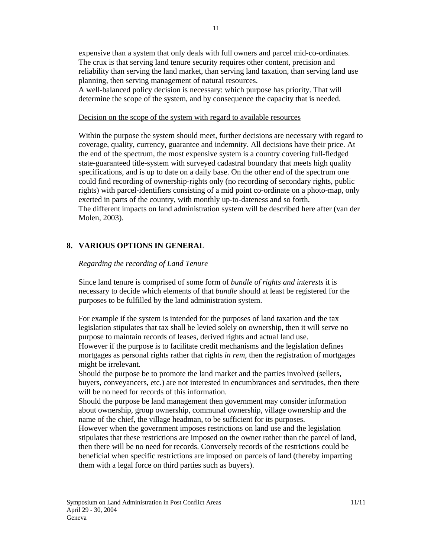expensive than a system that only deals with full owners and parcel mid-co-ordinates. The crux is that serving land tenure security requires other content, precision and reliability than serving the land market, than serving land taxation, than serving land use planning, then serving management of natural resources.

A well-balanced policy decision is necessary: which purpose has priority. That will determine the scope of the system, and by consequence the capacity that is needed.

#### Decision on the scope of the system with regard to available resources

Within the purpose the system should meet, further decisions are necessary with regard to coverage, quality, currency, guarantee and indemnity. All decisions have their price. At the end of the spectrum, the most expensive system is a country covering full-fledged state-guaranteed title-system with surveyed cadastral boundary that meets high quality specifications, and is up to date on a daily base. On the other end of the spectrum one could find recording of ownership-rights only (no recording of secondary rights, public rights) with parcel-identifiers consisting of a mid point co-ordinate on a photo-map, only exerted in parts of the country, with monthly up-to-dateness and so forth. The different impacts on land administration system will be described here after (van der Molen, 2003).

## **8. VARIOUS OPTIONS IN GENERAL**

### *Regarding the recording of Land Tenure*

Since land tenure is comprised of some form of *bundle of rights and interests* it is necessary to decide which elements of that *bundle* should at least be registered for the purposes to be fulfilled by the land administration system.

For example if the system is intended for the purposes of land taxation and the tax legislation stipulates that tax shall be levied solely on ownership, then it will serve no purpose to maintain records of leases, derived rights and actual land use.

However if the purpose is to facilitate credit mechanisms and the legislation defines mortgages as personal rights rather that rights *in rem*, then the registration of mortgages might be irrelevant.

Should the purpose be to promote the land market and the parties involved (sellers, buyers, conveyancers, etc.) are not interested in encumbrances and servitudes, then there will be no need for records of this information.

Should the purpose be land management then government may consider information about ownership, group ownership, communal ownership, village ownership and the name of the chief, the village headman, to be sufficient for its purposes.

However when the government imposes restrictions on land use and the legislation stipulates that these restrictions are imposed on the owner rather than the parcel of land, then there will be no need for records. Conversely records of the restrictions could be beneficial when specific restrictions are imposed on parcels of land (thereby imparting them with a legal force on third parties such as buyers).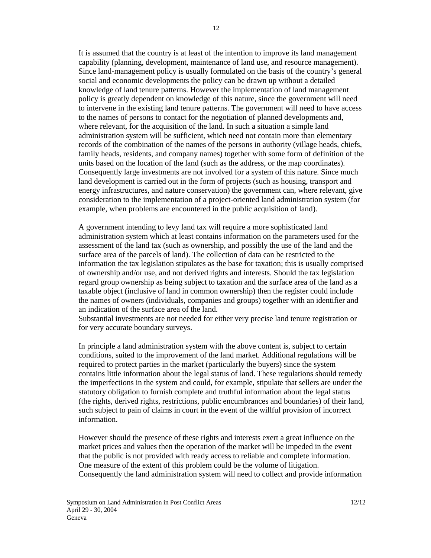It is assumed that the country is at least of the intention to improve its land management capability (planning, development, maintenance of land use, and resource management). Since land-management policy is usually formulated on the basis of the country's general social and economic developments the policy can be drawn up without a detailed knowledge of land tenure patterns. However the implementation of land management policy is greatly dependent on knowledge of this nature, since the government will need to intervene in the existing land tenure patterns. The government will need to have access to the names of persons to contact for the negotiation of planned developments and, where relevant, for the acquisition of the land. In such a situation a simple land administration system will be sufficient, which need not contain more than elementary records of the combination of the names of the persons in authority (village heads, chiefs, family heads, residents, and company names) together with some form of definition of the units based on the location of the land (such as the address, or the map coordinates). Consequently large investments are not involved for a system of this nature. Since much land development is carried out in the form of projects (such as housing, transport and energy infrastructures, and nature conservation) the government can, where relevant, give consideration to the implementation of a project-oriented land administration system (for example, when problems are encountered in the public acquisition of land).

A government intending to levy land tax will require a more sophisticated land administration system which at least contains information on the parameters used for the assessment of the land tax (such as ownership, and possibly the use of the land and the surface area of the parcels of land). The collection of data can be restricted to the information the tax legislation stipulates as the base for taxation; this is usually comprised of ownership and/or use, and not derived rights and interests. Should the tax legislation regard group ownership as being subject to taxation and the surface area of the land as a taxable object (inclusive of land in common ownership) then the register could include the names of owners (individuals, companies and groups) together with an identifier and an indication of the surface area of the land.

Substantial investments are not needed for either very precise land tenure registration or for very accurate boundary surveys.

In principle a land administration system with the above content is, subject to certain conditions, suited to the improvement of the land market. Additional regulations will be required to protect parties in the market (particularly the buyers) since the system contains little information about the legal status of land. These regulations should remedy the imperfections in the system and could, for example, stipulate that sellers are under the statutory obligation to furnish complete and truthful information about the legal status (the rights, derived rights, restrictions, public encumbrances and boundaries) of their land, such subject to pain of claims in court in the event of the willful provision of incorrect information.

However should the presence of these rights and interests exert a great influence on the market prices and values then the operation of the market will be impeded in the event that the public is not provided with ready access to reliable and complete information. One measure of the extent of this problem could be the volume of litigation. Consequently the land administration system will need to collect and provide information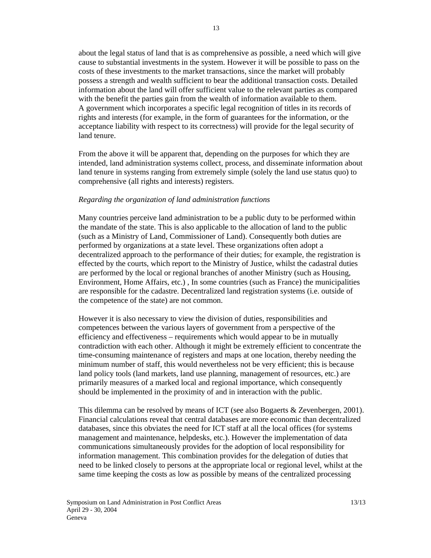about the legal status of land that is as comprehensive as possible, a need which will give cause to substantial investments in the system. However it will be possible to pass on the costs of these investments to the market transactions, since the market will probably possess a strength and wealth sufficient to bear the additional transaction costs. Detailed information about the land will offer sufficient value to the relevant parties as compared with the benefit the parties gain from the wealth of information available to them. A government which incorporates a specific legal recognition of titles in its records of rights and interests (for example, in the form of guarantees for the information, or the acceptance liability with respect to its correctness) will provide for the legal security of land tenure.

From the above it will be apparent that, depending on the purposes for which they are intended, land administration systems collect, process, and disseminate information about land tenure in systems ranging from extremely simple (solely the land use status quo) to comprehensive (all rights and interests) registers.

### *Regarding the organization of land administration functions*

Many countries perceive land administration to be a public duty to be performed within the mandate of the state. This is also applicable to the allocation of land to the public (such as a Ministry of Land, Commissioner of Land). Consequently both duties are performed by organizations at a state level. These organizations often adopt a decentralized approach to the performance of their duties; for example, the registration is effected by the courts, which report to the Ministry of Justice, whilst the cadastral duties are performed by the local or regional branches of another Ministry (such as Housing, Environment, Home Affairs, etc.) , In some countries (such as France) the municipalities are responsible for the cadastre. Decentralized land registration systems (i.e. outside of the competence of the state) are not common.

However it is also necessary to view the division of duties, responsibilities and competences between the various layers of government from a perspective of the efficiency and effectiveness – requirements which would appear to be in mutually contradiction with each other. Although it might be extremely efficient to concentrate the time-consuming maintenance of registers and maps at one location, thereby needing the minimum number of staff, this would nevertheless not be very efficient; this is because land policy tools (land markets, land use planning, management of resources, etc.) are primarily measures of a marked local and regional importance, which consequently should be implemented in the proximity of and in interaction with the public.

This dilemma can be resolved by means of ICT (see also Bogaerts & Zevenbergen, 2001). Financial calculations reveal that central databases are more economic than decentralized databases, since this obviates the need for ICT staff at all the local offices (for systems management and maintenance, helpdesks, etc.). However the implementation of data communications simultaneously provides for the adoption of local responsibility for information management. This combination provides for the delegation of duties that need to be linked closely to persons at the appropriate local or regional level, whilst at the same time keeping the costs as low as possible by means of the centralized processing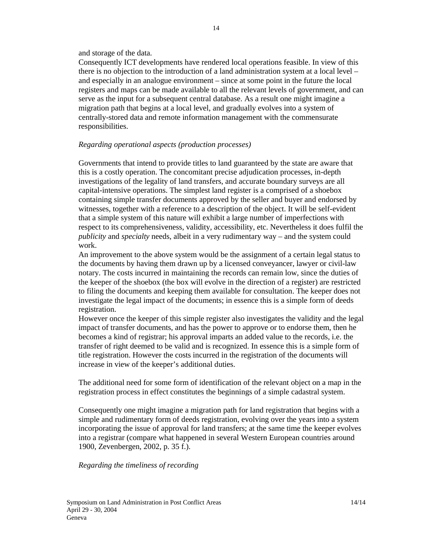#### and storage of the data.

Consequently ICT developments have rendered local operations feasible. In view of this there is no objection to the introduction of a land administration system at a local level – and especially in an analogue environment – since at some point in the future the local registers and maps can be made available to all the relevant levels of government, and can serve as the input for a subsequent central database. As a result one might imagine a migration path that begins at a local level, and gradually evolves into a system of centrally-stored data and remote information management with the commensurate responsibilities.

#### *Regarding operational aspects (production processes)*

Governments that intend to provide titles to land guaranteed by the state are aware that this is a costly operation. The concomitant precise adjudication processes, in-depth investigations of the legality of land transfers, and accurate boundary surveys are all capital-intensive operations. The simplest land register is a comprised of a shoebox containing simple transfer documents approved by the seller and buyer and endorsed by witnesses, together with a reference to a description of the object. It will be self-evident that a simple system of this nature will exhibit a large number of imperfections with respect to its comprehensiveness, validity, accessibility, etc. Nevertheless it does fulfil the *publicity* and *specialty* needs, albeit in a very rudimentary way – and the system could work.

An improvement to the above system would be the assignment of a certain legal status to the documents by having them drawn up by a licensed conveyancer, lawyer or civil-law notary. The costs incurred in maintaining the records can remain low, since the duties of the keeper of the shoebox (the box will evolve in the direction of a register) are restricted to filing the documents and keeping them available for consultation. The keeper does not investigate the legal impact of the documents; in essence this is a simple form of deeds registration.

However once the keeper of this simple register also investigates the validity and the legal impact of transfer documents, and has the power to approve or to endorse them, then he becomes a kind of registrar; his approval imparts an added value to the records, i.e. the transfer of right deemed to be valid and is recognized. In essence this is a simple form of title registration. However the costs incurred in the registration of the documents will increase in view of the keeper's additional duties.

The additional need for some form of identification of the relevant object on a map in the registration process in effect constitutes the beginnings of a simple cadastral system.

Consequently one might imagine a migration path for land registration that begins with a simple and rudimentary form of deeds registration, evolving over the years into a system incorporating the issue of approval for land transfers; at the same time the keeper evolves into a registrar (compare what happened in several Western European countries around 1900, Zevenbergen, 2002, p. 35 f.).

### *Regarding the timeliness of recording*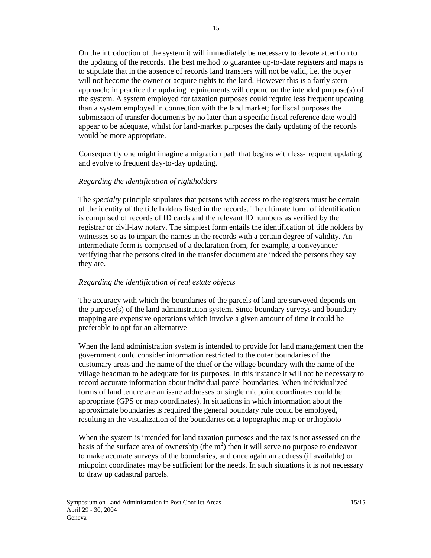On the introduction of the system it will immediately be necessary to devote attention to the updating of the records. The best method to guarantee up-to-date registers and maps is to stipulate that in the absence of records land transfers will not be valid, i.e. the buyer will not become the owner or acquire rights to the land. However this is a fairly stern approach; in practice the updating requirements will depend on the intended purpose(s) of the system. A system employed for taxation purposes could require less frequent updating than a system employed in connection with the land market; for fiscal purposes the submission of transfer documents by no later than a specific fiscal reference date would appear to be adequate, whilst for land-market purposes the daily updating of the records would be more appropriate.

Consequently one might imagine a migration path that begins with less-frequent updating and evolve to frequent day-to-day updating.

### *Regarding the identification of rightholders*

The *specialty* principle stipulates that persons with access to the registers must be certain of the identity of the title holders listed in the records. The ultimate form of identification is comprised of records of ID cards and the relevant ID numbers as verified by the registrar or civil-law notary. The simplest form entails the identification of title holders by witnesses so as to impart the names in the records with a certain degree of validity. An intermediate form is comprised of a declaration from, for example, a conveyancer verifying that the persons cited in the transfer document are indeed the persons they say they are.

#### *Regarding the identification of real estate objects*

The accuracy with which the boundaries of the parcels of land are surveyed depends on the purpose(s) of the land administration system. Since boundary surveys and boundary mapping are expensive operations which involve a given amount of time it could be preferable to opt for an alternative

When the land administration system is intended to provide for land management then the government could consider information restricted to the outer boundaries of the customary areas and the name of the chief or the village boundary with the name of the village headman to be adequate for its purposes. In this instance it will not be necessary to record accurate information about individual parcel boundaries. When individualized forms of land tenure are an issue addresses or single midpoint coordinates could be appropriate (GPS or map coordinates). In situations in which information about the approximate boundaries is required the general boundary rule could be employed, resulting in the visualization of the boundaries on a topographic map or orthophoto

When the system is intended for land taxation purposes and the tax is not assessed on the basis of the surface area of ownership (the  $m<sup>2</sup>$ ) then it will serve no purpose to endeavor to make accurate surveys of the boundaries, and once again an address (if available) or midpoint coordinates may be sufficient for the needs. In such situations it is not necessary to draw up cadastral parcels.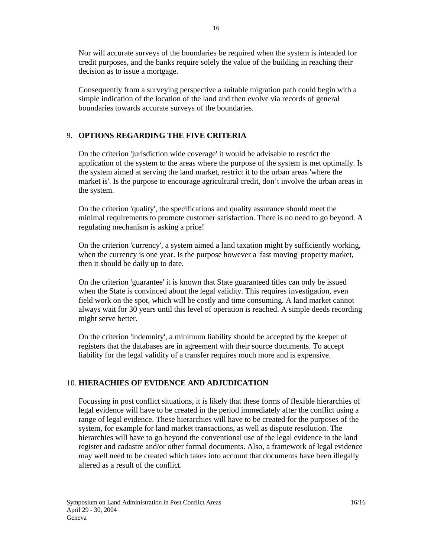Nor will accurate surveys of the boundaries be required when the system is intended for credit purposes, and the banks require solely the value of the building in reaching their decision as to issue a mortgage.

Consequently from a surveying perspective a suitable migration path could begin with a simple indication of the location of the land and then evolve via records of general boundaries towards accurate surveys of the boundaries.

## 9. **OPTIONS REGARDING THE FIVE CRITERIA**

On the criterion 'jurisdiction wide coverage' it would be advisable to restrict the application of the system to the areas where the purpose of the system is met optimally. Is the system aimed at serving the land market, restrict it to the urban areas 'where the market is'. Is the purpose to encourage agricultural credit, don't involve the urban areas in the system.

On the criterion 'quality', the specifications and quality assurance should meet the minimal requirements to promote customer satisfaction. There is no need to go beyond. A regulating mechanism is asking a price!

On the criterion 'currency', a system aimed a land taxation might by sufficiently working, when the currency is one year. Is the purpose however a 'fast moving' property market, then it should be daily up to date.

On the criterion 'guarantee' it is known that State guaranteed titles can only be issued when the State is convinced about the legal validity. This requires investigation, even field work on the spot, which will be costly and time consuming. A land market cannot always wait for 30 years until this level of operation is reached. A simple deeds recording might serve better.

On the criterion 'indemnity', a minimum liability should be accepted by the keeper of registers that the databases are in agreement with their source documents. To accept liability for the legal validity of a transfer requires much more and is expensive.

## 10. **HIERACHIES OF EVIDENCE AND ADJUDICATION**

Focussing in post conflict situations, it is likely that these forms of flexible hierarchies of legal evidence will have to be created in the period immediately after the conflict using a range of legal evidence. These hierarchies will have to be created for the purposes of the system, for example for land market transactions, as well as dispute resolution. The hierarchies will have to go beyond the conventional use of the legal evidence in the land register and cadastre and/or other formal documents. Also, a framework of legal evidence may well need to be created which takes into account that documents have been illegally altered as a result of the conflict.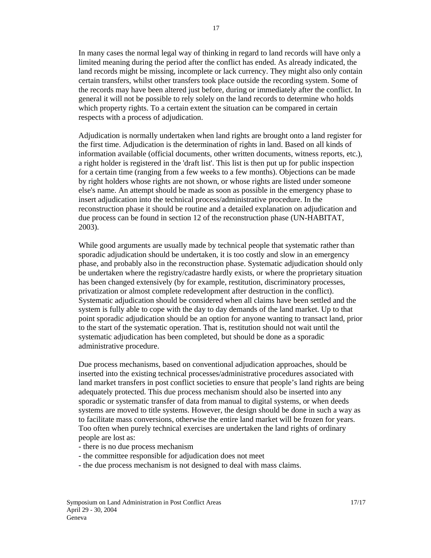In many cases the normal legal way of thinking in regard to land records will have only a limited meaning during the period after the conflict has ended. As already indicated, the land records might be missing, incomplete or lack currency. They might also only contain certain transfers, whilst other transfers took place outside the recording system. Some of the records may have been altered just before, during or immediately after the conflict. In general it will not be possible to rely solely on the land records to determine who holds which property rights. To a certain extent the situation can be compared in certain respects with a process of adjudication.

Adjudication is normally undertaken when land rights are brought onto a land register for the first time. Adjudication is the determination of rights in land. Based on all kinds of information available (official documents, other written documents, witness reports, etc.), a right holder is registered in the 'draft list'. This list is then put up for public inspection for a certain time (ranging from a few weeks to a few months). Objections can be made by right holders whose rights are not shown, or whose rights are listed under someone else's name. An attempt should be made as soon as possible in the emergency phase to insert adjudication into the technical process/administrative procedure. In the reconstruction phase it should be routine and a detailed explanation on adjudication and due process can be found in section 12 of the reconstruction phase (UN-HABITAT, 2003).

While good arguments are usually made by technical people that systematic rather than sporadic adjudication should be undertaken, it is too costly and slow in an emergency phase, and probably also in the reconstruction phase. Systematic adjudication should only be undertaken where the registry/cadastre hardly exists, or where the proprietary situation has been changed extensively (by for example, restitution, discriminatory processes, privatization or almost complete redevelopment after destruction in the conflict). Systematic adjudication should be considered when all claims have been settled and the system is fully able to cope with the day to day demands of the land market. Up to that point sporadic adjudication should be an option for anyone wanting to transact land, prior to the start of the systematic operation. That is, restitution should not wait until the systematic adjudication has been completed, but should be done as a sporadic administrative procedure.

Due process mechanisms, based on conventional adjudication approaches, should be inserted into the existing technical processes/administrative procedures associated with land market transfers in post conflict societies to ensure that people's land rights are being adequately protected. This due process mechanism should also be inserted into any sporadic or systematic transfer of data from manual to digital systems, or when deeds systems are moved to title systems. However, the design should be done in such a way as to facilitate mass conversions, otherwise the entire land market will be frozen for years. Too often when purely technical exercises are undertaken the land rights of ordinary people are lost as:

- there is no due process mechanism
- the committee responsible for adjudication does not meet
- the due process mechanism is not designed to deal with mass claims.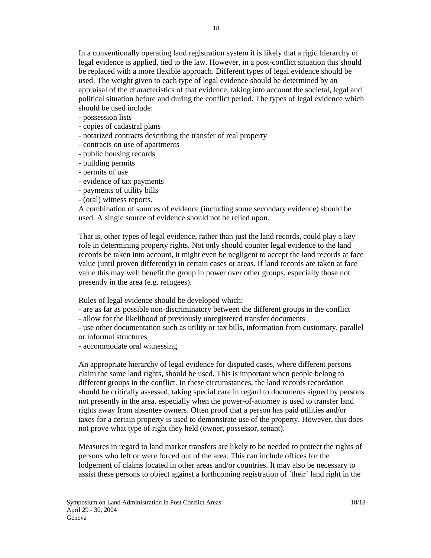In a conventionally operating land registration system it is likely that a rigid hierarchy of legal evidence is applied, tied to the law. However, in a post-conflict situation this should be replaced with a more flexible approach. Different types of legal evidence should be used. The weight given to each type of legal evidence should be determined by an appraisal of the characteristics of that evidence, taking into account the societal, legal and political situation before and during the conflict period. The types of legal evidence which should be used include:

- possession lists
- copies of cadastral plans
- notarized contracts describing the transfer of real property
- contracts on use of apartments
- public housing records
- building permits
- permits of use
- evidence of tax payments
- payments of utility bills
- (oral) witness reports.

A combination of sources of evidence (including some secondary evidence) should be used. A single source of evidence should not be relied upon.

That is, other types of legal evidence, rather than just the land records, could play a key role in determining property rights. Not only should counter legal evidence to the land records be taken into account, it might even be negligent to accept the land records at face value (until proven differently) in certain cases or areas. If land records are taken at face value this may well benefit the group in power over other groups, especially those not presently in the area (e.g. refugees).

Rules of legal evidence should be developed which:

- are as far as possible non-discriminatory between the different groups in the conflict
- allow for the likelihood of previously unregistered transfer documents

- use other documentation such as utility or tax bills, information from customary, parallel or informal structures

- accommodate oral witnessing.

An appropriate hierarchy of legal evidence for disputed cases, where different persons claim the same land rights, should be used. This is important when people belong to different groups in the conflict. In these circumstances, the land records recordation should be critically assessed, taking special care in regard to documents signed by persons not presently in the area, especially when the power-of-attorney is used to transfer land rights away from absentee owners. Often proof that a person has paid utilities and/or taxes for a certain property is used to demonstrate use of the property. However, this does not prove what type of right they held (owner, possessor, tenant).

Measures in regard to land market transfers are likely to be needed to protect the rights of persons who left or were forced out of the area. This can include offices for the lodgement of claims located in other areas and/or countries. It may also be necessary to assist these persons to object against a forthcoming registration of ´their´ land right in the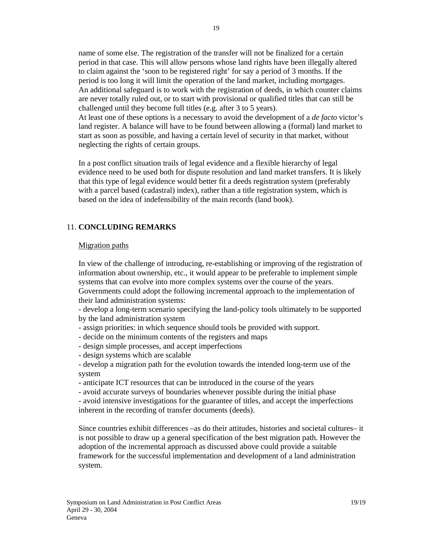name of some else. The registration of the transfer will not be finalized for a certain period in that case. This will allow persons whose land rights have been illegally altered to claim against the 'soon to be registered right' for say a period of 3 months. If the period is too long it will limit the operation of the land market, including mortgages. An additional safeguard is to work with the registration of deeds, in which counter claims are never totally ruled out, or to start with provisional or qualified titles that can still be challenged until they become full titles (e.g. after 3 to 5 years).

At least one of these options is a necessary to avoid the development of a *de facto* victor's land register. A balance will have to be found between allowing a (formal) land market to start as soon as possible, and having a certain level of security in that market, without neglecting the rights of certain groups.

In a post conflict situation trails of legal evidence and a flexible hierarchy of legal evidence need to be used both for dispute resolution and land market transfers. It is likely that this type of legal evidence would better fit a deeds registration system (preferably with a parcel based (cadastral) index), rather than a title registration system, which is based on the idea of indefensibility of the main records (land book).

## 11. **CONCLUDING REMARKS**

### Migration paths

In view of the challenge of introducing, re-establishing or improving of the registration of information about ownership, etc., it would appear to be preferable to implement simple systems that can evolve into more complex systems over the course of the years. Governments could adopt the following incremental approach to the implementation of their land administration systems:

- develop a long-term scenario specifying the land-policy tools ultimately to be supported by the land administration system

- assign priorities: in which sequence should tools be provided with support.
- decide on the minimum contents of the registers and maps
- design simple processes, and accept imperfections
- design systems which are scalable

- develop a migration path for the evolution towards the intended long-term use of the system

- anticipate ICT resources that can be introduced in the course of the years
- avoid accurate surveys of boundaries whenever possible during the initial phase

- avoid intensive investigations for the guarantee of titles, and accept the imperfections inherent in the recording of transfer documents (deeds).

Since countries exhibit differences –as do their attitudes, histories and societal cultures– it is not possible to draw up a general specification of the best migration path. However the adoption of the incremental approach as discussed above could provide a suitable framework for the successful implementation and development of a land administration system.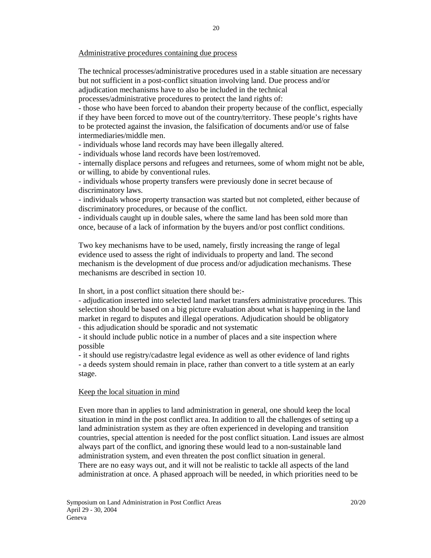#### Administrative procedures containing due process

The technical processes/administrative procedures used in a stable situation are necessary but not sufficient in a post-conflict situation involving land. Due process and/or adjudication mechanisms have to also be included in the technical

processes/administrative procedures to protect the land rights of:

- those who have been forced to abandon their property because of the conflict, especially if they have been forced to move out of the country/territory. These people's rights have to be protected against the invasion, the falsification of documents and/or use of false intermediaries/middle men.

- individuals whose land records may have been illegally altered.

- individuals whose land records have been lost/removed.

- internally displace persons and refugees and returnees, some of whom might not be able, or willing, to abide by conventional rules.

- individuals whose property transfers were previously done in secret because of discriminatory laws.

- individuals whose property transaction was started but not completed, either because of discriminatory procedures, or because of the conflict.

- individuals caught up in double sales, where the same land has been sold more than once, because of a lack of information by the buyers and/or post conflict conditions.

Two key mechanisms have to be used, namely, firstly increasing the range of legal evidence used to assess the right of individuals to property and land. The second mechanism is the development of due process and/or adjudication mechanisms. These mechanisms are described in section 10.

In short, in a post conflict situation there should be:-

- adjudication inserted into selected land market transfers administrative procedures. This selection should be based on a big picture evaluation about what is happening in the land market in regard to disputes and illegal operations. Adjudication should be obligatory - this adjudication should be sporadic and not systematic

- it should include public notice in a number of places and a site inspection where

possible

- it should use registry/cadastre legal evidence as well as other evidence of land rights - a deeds system should remain in place, rather than convert to a title system at an early stage.

#### Keep the local situation in mind

Even more than in applies to land administration in general, one should keep the local situation in mind in the post conflict area. In addition to all the challenges of setting up a land administration system as they are often experienced in developing and transition countries, special attention is needed for the post conflict situation. Land issues are almost always part of the conflict, and ignoring these would lead to a non-sustainable land administration system, and even threaten the post conflict situation in general. There are no easy ways out, and it will not be realistic to tackle all aspects of the land administration at once. A phased approach will be needed, in which priorities need to be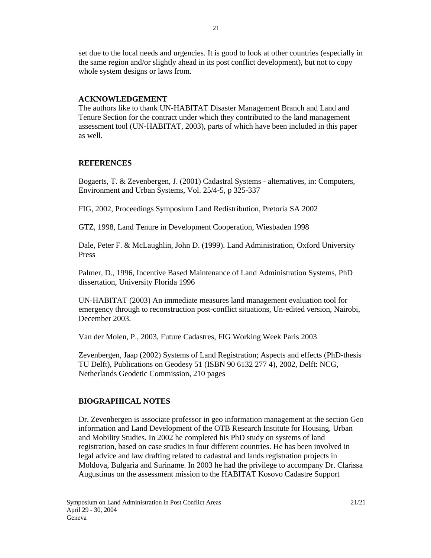set due to the local needs and urgencies. It is good to look at other countries (especially in the same region and/or slightly ahead in its post conflict development), but not to copy whole system designs or laws from.

## **ACKNOWLEDGEMENT**

The authors like to thank UN-HABITAT Disaster Management Branch and Land and Tenure Section for the contract under which they contributed to the land management assessment tool (UN-HABITAT, 2003), parts of which have been included in this paper as well.

## **REFERENCES**

Bogaerts, T. & Zevenbergen, J. (2001) Cadastral Systems - alternatives, in: Computers, Environment and Urban Systems, Vol. 25/4-5, p 325-337

FIG, 2002, Proceedings Symposium Land Redistribution, Pretoria SA 2002

GTZ, 1998, Land Tenure in Development Cooperation, Wiesbaden 1998

Dale, Peter F. & McLaughlin, John D. (1999). Land Administration, Oxford University Press

Palmer, D., 1996, Incentive Based Maintenance of Land Administration Systems, PhD dissertation, University Florida 1996

UN-HABITAT (2003) An immediate measures land management evaluation tool for emergency through to reconstruction post-conflict situations, Un-edited version, Nairobi, December 2003.

Van der Molen, P., 2003, Future Cadastres, FIG Working Week Paris 2003

Zevenbergen, Jaap (2002) Systems of Land Registration; Aspects and effects (PhD-thesis TU Delft), Publications on Geodesy 51 (ISBN 90 6132 277 4), 2002, Delft: NCG, Netherlands Geodetic Commission, 210 pages

## **BIOGRAPHICAL NOTES**

Dr. Zevenbergen is associate professor in geo information management at the section Geo information and Land Development of the OTB Research Institute for Housing, Urban and Mobility Studies. In 2002 he completed his PhD study on systems of land registration, based on case studies in four different countries. He has been involved in legal advice and law drafting related to cadastral and lands registration projects in Moldova, Bulgaria and Suriname. In 2003 he had the privilege to accompany Dr. Clarissa Augustinus on the assessment mission to the HABITAT Kosovo Cadastre Support